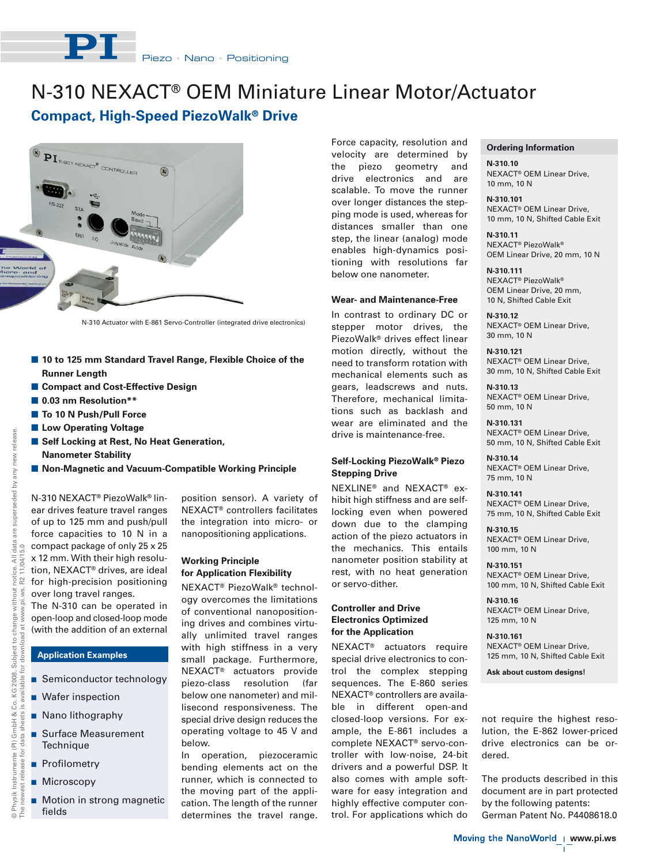# N-310 NEXACT® OEM Miniature Linear Motor/Actuator

# **Compact, High-Speed PiezoWalk® Drive**



N-310 Actuator with E-861 Servo-Controller (integrated drive electronics)

- 10 to 125 mm Standard Travel Range, Flexible Choice of the **Runner Length**
- **E Compact and Cost-Effective Design**
- **0.03 nm Resolution\*\***
- To 10 N Push/Pull Force
- **E Low Operating Voltage**
- Self Locking at Rest, No Heat Generation, **Nanometer Stability**
- **E** Non-Magnetic and Vacuum-Compatible Working Principle

N-310 NEXACT® PiezoWalk® linear drives feature travel ranges of up to 125 mm and push/pull force capacities to 10 N in a compact package of only 25 x 25 x 12 mm. With their high resolution, NEXACT® drives, are ideal for high-precision positioning over long travel ranges. The N-310 can be operated in

open-loop and closed-loop mode (with the addition of an external

## **Application Examples**

- **B** Semiconductor technology
- **Nafer inspection**
- Nano lithography
- **Burface Measurement Technique**
- **Profilometry**
- **Microscopy**
- **Notion in strong magnetic** fields

position sensor). A variety of NEXACT® controllers facilitates the integration into micro- or nanopositioning applications.

### **Working Principle for Application Flexibility**

NEXACT® PiezoWalk® technology overcomes the limitations of conventional nanopositioning drives and combines virtually unlimited travel ranges with high stiffness in a very small package. Furthermore, NEXACT® actuators provide piezo-class resolution (far below one nanometer) and millisecond responsiveness. The special drive design reduces the operating voltage to 45 V and below.

In operation, piezoceramic bending elements act on the runner, which is connected to the moving part of the application. The length of the runner determines the travel range. Force capacity, resolution and velocity are determined by the piezo geometry and drive electronics and are scalable. To move the runner over longer distances the stepping mode is used, whereas for distances smaller than one step, the linear (analog) mode enables high-dynamics positioning with resolutions far below one nanometer.

#### **Wear- and Maintenance-Free**

In contrast to ordinary DC or stepper motor drives, the PiezoWalk® drives effect linear motion directly, without the need to transform rotation with mechanical elements such as gears, leadscrews and nuts. Therefore, mechanical limitations such as backlash and wear are eliminated and the drive is maintenance-free.

### **Self-Locking PiezoWalk® Piezo Stepping Drive**

NEXLINE® and NEXACT® exhibit high stiffness and are selflocking even when powered down due to the clamping action of the piezo actuators in the mechanics. This entails nanometer position stability at rest, with no heat generation or servo-dither.

#### **Controller and Drive Electronics Optimized for the Application**

NEXACT® actuators require special drive electronics to control the complex stepping sequences. The E-860 series NEXACT® controllers are available in different open-and closed-loop versions. For example, the E-861 includes a complete NEXACT® servo-controller with low-noise, 24-bit drivers and a powerful DSP. It also comes with ample software for easy integration and highly effective computer control. For applications which do

#### **Ordering Information**

**N-310.10** NEXACT® OEM Linear Drive, 10 mm, 10 N

**N-310.101** NEXACT® OEM Linear Drive, 10 mm, 10 N, Shifted Cable Exit

**N-310.11** NEXACT® PiezoWalk® OEM Linear Drive, 20 mm, 10 N

**N-310.111** NEXACT® PiezoWalk® OEM Linear Drive, 20 mm, 10 N, Shifted Cable Exit

**N-310.12** NEXACT® OEM Linear Drive, 30 mm, 10 N

**N-310.121** NEXACT® OEM Linear Drive, 30 mm, 10 N, Shifted Cable Exit

**N-310.13** NEXACT® OEM Linear Drive, 50 mm, 10 N

**N-310.131** NEXACT® OEM Linear Drive, 50 mm, 10 N, Shifted Cable Exit

**N-310.14** NEXACT® OEM Linear Drive, 75 mm, 10 N

**N-310.141** NEXACT® OEM Linear Drive, 75 mm, 10 N, Shifted Cable Exit

**N-310.15** NEXACT® OEM Linear Drive, 100 mm, 10 N

**N-310.151** NEXACT® OEM Linear Drive, 100 mm, 10 N, Shifted Cable Exit

**N-310.16** NEXACT® OEM Linear Drive, 125 mm, 10 N

**N-310.161** NEXACT® OEM Linear Drive, 125 mm, 10 N, Shifted Cable Exit

**Ask about custom designs!**

not require the highest resolution, the E-862 lower-priced drive electronics can be ordered.

The products described in this document are in part protected by the following patents: German Patent No. P4408618.0